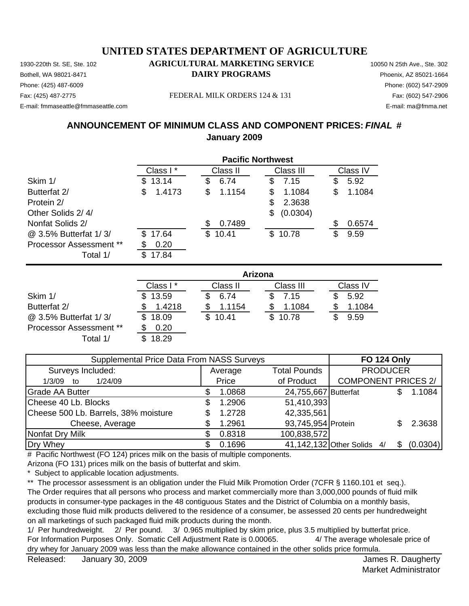Phone: (425) 487-6009 Phone: (602) 547-2909 E-mail: fmmaseattle@fmmaseattle.com E-mail: ma@fmma.net

### 1930-220th St. SE, Ste. 102 **AGRICULTURAL MARKETING SERVICE** 10050 N 25th Ave., Ste. 302 Bothell, WA 98021-8471 **DAIRY PROGRAMS** Phoenix, AZ 85021-1664

#### Fax: (425) 487-2775 FEDERAL MILK ORDERS 124 & 131 Fax: (602) 547-2906

## **ANNOUNCEMENT OF MINIMUM CLASS AND COMPONENT PRICES:** *FINAL* **# January 2009**

|                         | <b>Pacific Northwest</b> |                       |                |              |
|-------------------------|--------------------------|-----------------------|----------------|--------------|
|                         | Class I*                 | Class II              | Class III      | Class IV     |
| Skim 1/                 | 13.14<br>\$.             | \$<br>6.74            | 7.15<br>\$     | 5.92<br>S    |
| Butterfat 2/            | 1.4173<br>\$             | \$<br>1.1154          | 1.1084<br>\$   | 1.1084<br>\$ |
| Protein 2/              |                          |                       | \$<br>2.3638   |              |
| Other Solids 2/4/       |                          |                       | (0.0304)<br>\$ |              |
| Nonfat Solids 2/        |                          | 0.7489<br>\$          |                | 0.6574<br>S  |
| @ 3.5% Butterfat 1/3/   | 17.64<br>\$.             | $\mathbb{S}$<br>10.41 | \$10.78        | \$<br>9.59   |
| Processor Assessment ** | 0.20                     |                       |                |              |
| Total 1/                | \$<br>17.84              |                       |                |              |
|                         |                          |                       | <b>Arizona</b> |              |
|                         | Class I*                 | Class II              | Class III      | Class IV     |

|                                | Class I* | Class II | Class III | Class IV |
|--------------------------------|----------|----------|-----------|----------|
| Skim 1/                        | \$13.59  | 6.74     | 7.15      | 5.92     |
| Butterfat 2/                   | 1.4218   | 1.1154   | 1.1084    | 1.1084   |
| @ 3.5% Butterfat 1/3/          | \$18.09  | \$10.41  | \$10.78   | 9.59     |
| <b>Processor Assessment **</b> | 0.20     |          |           |          |
| Total 1/                       | 18.29    |          |           |          |

| Supplemental Price Data From NASS Surveys |   |         |                      | <b>FO 124 Only</b>         |          |
|-------------------------------------------|---|---------|----------------------|----------------------------|----------|
| Surveys Included:                         |   | Average | <b>Total Pounds</b>  | <b>PRODUCER</b>            |          |
| 1/24/09<br>$1/3/09$ to                    |   | Price   | of Product           | <b>COMPONENT PRICES 2/</b> |          |
| <b>Grade AA Butter</b>                    |   | 1.0868  | 24,755,667 Butterfat |                            | 1.1084   |
| Cheese 40 Lb. Blocks                      | S | 1.2906  | 51,410,393           |                            |          |
| Cheese 500 Lb. Barrels, 38% moisture      |   | 1.2728  | 42,335,561           |                            |          |
| Cheese, Average                           |   | 1.2961  | 93,745,954 Protein   |                            | 2.3638   |
| Nonfat Dry Milk                           |   | 0.8318  | 100,838,572          |                            |          |
| Dry Whey                                  |   | 0.1696  |                      | 41,142,132 Other Solids 4/ | (0.0304) |

# Pacific Northwest (FO 124) prices milk on the basis of multiple components.

Arizona (FO 131) prices milk on the basis of butterfat and skim.

\* Subject to applicable location adjustments.

\*\* The processor assessment is an obligation under the Fluid Milk Promotion Order (7CFR § 1160.101 et seq.). The Order requires that all persons who process and market commercially more than 3,000,000 pounds of fluid milk products in consumer-type packages in the 48 contiguous States and the District of Columbia on a monthly basis, excluding those fluid milk products delivered to the residence of a consumer, be assessed 20 cents per hundredweight on all marketings of such packaged fluid milk products during the month.

1/ Per hundredweight. 2/ Per pound. 3/ 0.965 multiplied by skim price, plus 3.5 multiplied by butterfat price. For Information Purposes Only. Somatic Cell Adjustment Rate is 0.00065. 4/ The average wholesale price of dry whey for January 2009 was less than the make allowance contained in the other solids price formula.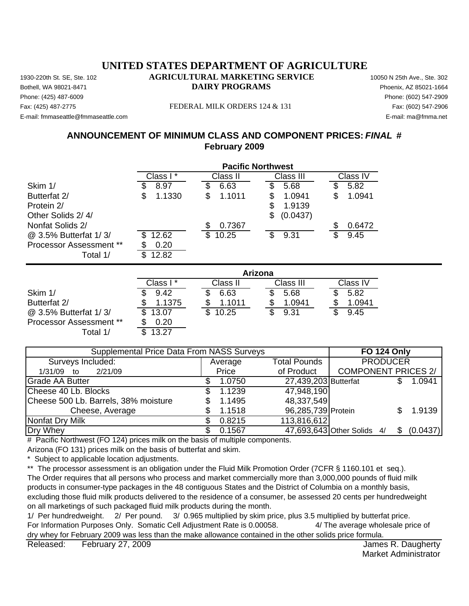Phone: (425) 487-6009 Phone: (602) 547-2909 Fax: (425) 487-2775 FEDERAL MILK ORDERS 124 & 131 E-mail: fmmaseattle@fmmaseattle.com E-mail: ma@fmma.net

## **ANNOUNCEMENT OF MINIMUM CLASS AND COMPONENT PRICES:** *FINAL* **# February 2009**

|                                | <b>Pacific Northwest</b> |              |               |           |  |  |  |
|--------------------------------|--------------------------|--------------|---------------|-----------|--|--|--|
|                                | Class I*                 | Class II     | Class III     | Class IV  |  |  |  |
| Skim 1/                        | 8.97                     | 6.63<br>\$   | 5.68<br>\$    | 5.82      |  |  |  |
| Butterfat 2/                   | 1.1330<br>S              | 1.1011<br>\$ | 1.0941<br>\$  | 1.0941    |  |  |  |
| Protein 2/                     |                          |              | 1.9139<br>S   |           |  |  |  |
| Other Solids 2/4/              |                          |              | (0.0437)<br>S |           |  |  |  |
| Nonfat Solids 2/               |                          | 0.7367<br>S. |               | 0.6472    |  |  |  |
| @ 3.5% Butterfat 1/3/          | 12.62                    | \$<br>10.25  | 9.31<br>\$    | 9.45<br>œ |  |  |  |
| <b>Processor Assessment **</b> | 0.20                     |              |               |           |  |  |  |
| Total 1/                       | 12.82                    |              |               |           |  |  |  |

|                                | Arizona   |          |           |          |  |  |
|--------------------------------|-----------|----------|-----------|----------|--|--|
|                                | Class I * | Class II | Class III | Class IV |  |  |
| Skim 1/                        | 9.42      | 6.63     | 5.68      | 5.82     |  |  |
| Butterfat 2/                   | 1.1375    | 1.1011   | 1.0941    | 1.0941   |  |  |
| @ 3.5% Butterfat 1/3/          | 13.07     | 10.25    | 9.31      | 9.45     |  |  |
| <b>Processor Assessment **</b> | 0.20      |          |           |          |  |  |
| Total 1/                       | 13.27     |          |           |          |  |  |

| Supplemental Price Data From NASS Surveys | <b>FO 124 Only</b> |                      |                                        |
|-------------------------------------------|--------------------|----------------------|----------------------------------------|
| Surveys Included:                         | Average            | <b>Total Pounds</b>  | <b>PRODUCER</b>                        |
| 2/21/09<br>1/31/09 to                     | Price              | of Product           | <b>COMPONENT PRICES 2/</b>             |
| <b>Grade AA Butter</b>                    | 1.0750             | 27,439,203 Butterfat | 1.0941                                 |
| Cheese 40 Lb. Blocks                      | 1.1239             | 47,948,190           |                                        |
| Cheese 500 Lb. Barrels, 38% moisture      | 1.1495             | 48,337,549           |                                        |
| Cheese, Average                           | 1.1518             | 96,285,739 Protein   | 1.9139                                 |
| Nonfat Dry Milk                           | 0.8215             | 113,816,612          |                                        |
| Dry Whey                                  | 0.1567             |                      | 47,693,643 Other Solids 4/<br>(0.0437) |

# Pacific Northwest (FO 124) prices milk on the basis of multiple components.

Arizona (FO 131) prices milk on the basis of butterfat and skim.

Subject to applicable location adjustments.

\*\* The processor assessment is an obligation under the Fluid Milk Promotion Order (7CFR § 1160.101 et seq.). The Order requires that all persons who process and market commercially more than 3,000,000 pounds of fluid milk products in consumer-type packages in the 48 contiguous States and the District of Columbia on a monthly basis, excluding those fluid milk products delivered to the residence of a consumer, be assessed 20 cents per hundredweight on all marketings of such packaged fluid milk products during the month.

1/ Per hundredweight. 2/ Per pound. 3/ 0.965 multiplied by skim price, plus 3.5 multiplied by butterfat price. For Information Purposes Only. Somatic Cell Adjustment Rate is 0.00058. 4/ The average wholesale price of dry whey for February 2009 was less than the make allowance contained in the other solids price formula.

Released: February 27, 2009 **Figure 2018** and the set of the set of the set of the set of the set of the set of the set of the set of the set of the set of the set of the set of the set of the set of the set of the set of February 27, 2009

Market Administrator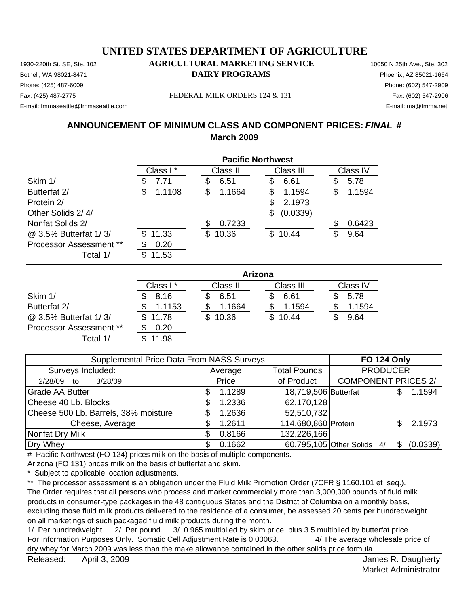Phone: (425) 487-6009 Phone: (602) 547-2909 E-mail: fmmaseattle@fmmaseattle.com E-mail: ma@fmma.net

## 1930-220th St. SE, Ste. 102 **AGRICULTURAL MARKETING SERVICE** 10050 N 25th Ave., Ste. 302 Bothell, WA 98021-8471 **DAIRY PROGRAMS** Phoenix, AZ 85021-1664

#### Fax: (425) 487-2775 FEDERAL MILK ORDERS 124 & 131 Fax: (602) 547-2906

## **ANNOUNCEMENT OF MINIMUM CLASS AND COMPONENT PRICES:** *FINAL* **# March 2009**

|                                | <b>Pacific Northwest</b> |              |                |              |
|--------------------------------|--------------------------|--------------|----------------|--------------|
|                                | Class I*                 | Class II     | Class III      | Class IV     |
| Skim 1/                        | 7.71<br>\$               | 6.51<br>\$   | 6.61<br>\$     | 5.78<br>\$   |
| Butterfat 2/                   | 1.1108<br>\$             | \$<br>1.1664 | 1.1594<br>S    | 1.1594<br>\$ |
| Protein 2/                     |                          |              | 2.1973<br>\$   |              |
| Other Solids 2/4/              |                          |              | (0.0339)<br>\$ |              |
| Nonfat Solids 2/               |                          | \$<br>0.7233 |                | 0.6423<br>\$ |
| @ 3.5% Butterfat 1/3/          | \$11.33                  | \$<br>10.36  | 10.44<br>\$.   | \$<br>9.64   |
| <b>Processor Assessment **</b> | 0.20                     |              |                |              |
| Total 1/                       | 11.53<br>\$.             |              |                |              |
|                                |                          |              | Arizona        |              |

|                                | ANZUNG   |          |           |          |  |  |
|--------------------------------|----------|----------|-----------|----------|--|--|
|                                | Class I* | Class II | Class III | Class IV |  |  |
| Skim 1/                        | 8.16     | 6.51     | 6.61      | 5.78     |  |  |
| Butterfat 2/                   | 1.1153   | 1.1664   | 1.1594    | 1.1594   |  |  |
| @ 3.5% Butterfat 1/3/          | \$11.78  | \$10.36  | \$10.44   | 9.64     |  |  |
| <b>Processor Assessment **</b> | 0.20     |          |           |          |  |  |
| Total 1/                       | 11.98    |          |           |          |  |  |

| Supplemental Price Data From NASS Surveys | <b>FO 124 Only</b> |                      |                            |                 |          |
|-------------------------------------------|--------------------|----------------------|----------------------------|-----------------|----------|
| Surveys Included:                         | Average            | <b>Total Pounds</b>  |                            | <b>PRODUCER</b> |          |
| 3/28/09<br>2/28/09<br>to                  | Price              | of Product           | <b>COMPONENT PRICES 2/</b> |                 |          |
| <b>Grade AA Butter</b>                    | 1.1289             | 18,719,506 Butterfat |                            |                 | 1.1594   |
| Cheese 40 Lb. Blocks                      | 1.2336             | 62,170,128           |                            |                 |          |
| Cheese 500 Lb. Barrels, 38% moisture      | 1.2636             | 52,510,732           |                            |                 |          |
| Cheese, Average                           | 1.2611             | 114,680,860 Protein  |                            |                 | 2.1973   |
| Nonfat Dry Milk                           | 0.8166             | 132,226,166          |                            |                 |          |
| Dry Whey                                  | 0.1662             |                      | 60,795,105 Other Solids 4/ |                 | (0.0339) |

# Pacific Northwest (FO 124) prices milk on the basis of multiple components.

Arizona (FO 131) prices milk on the basis of butterfat and skim.

\* Subject to applicable location adjustments.

\*\* The processor assessment is an obligation under the Fluid Milk Promotion Order (7CFR § 1160.101 et seq.). The Order requires that all persons who process and market commercially more than 3,000,000 pounds of fluid milk products in consumer-type packages in the 48 contiguous States and the District of Columbia on a monthly basis, excluding those fluid milk products delivered to the residence of a consumer, be assessed 20 cents per hundredweight on all marketings of such packaged fluid milk products during the month.

1/ Per hundredweight. 2/ Per pound. 3/ 0.965 multiplied by skim price, plus 3.5 multiplied by butterfat price. For Information Purposes Only. Somatic Cell Adjustment Rate is 0.00063. 4/ The average wholesale price of dry whey for March 2009 was less than the make allowance contained in the other solids price formula.

Market Administrator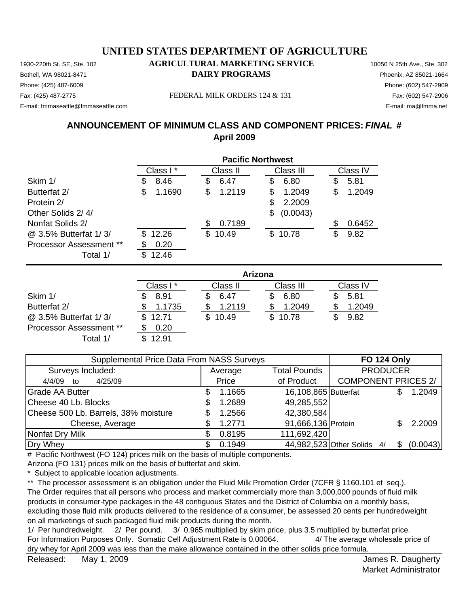Phone: (425) 487-6009 Phone: (602) 547-2909 E-mail: fmmaseattle@fmmaseattle.com E-mail: ma@fmma.net

### 1930-220th St. SE, Ste. 102 **AGRICULTURAL MARKETING SERVICE** 10050 N 25th Ave., Ste. 302 Bothell, WA 98021-8471 **DAIRY PROGRAMS** Phoenix, AZ 85021-1664

#### Fax: (425) 487-2775 FEDERAL MILK ORDERS 124 & 131 Fax: (602) 547-2906

## **ANNOUNCEMENT OF MINIMUM CLASS AND COMPONENT PRICES:** *FINAL* **# April 2009**

|                                |              | <b>Pacific Northwest</b> |                |              |  |
|--------------------------------|--------------|--------------------------|----------------|--------------|--|
|                                | Class I*     | Class II                 | Class III      | Class IV     |  |
| Skim 1/                        | 8.46<br>S    | 6.47<br>\$               | 6.80<br>S      | 5.81<br>S    |  |
| Butterfat 2/                   | 1.1690<br>\$ | \$<br>1.2119             | 1.2049<br>\$   | 1.2049<br>\$ |  |
| Protein 2/                     |              |                          | \$<br>2.2009   |              |  |
| Other Solids 2/4/              |              |                          | (0.0043)<br>\$ |              |  |
| Nonfat Solids 2/               |              | 0.7189<br>S              |                | 0.6452       |  |
| @ 3.5% Butterfat 1/3/          | 12.26<br>\$. | \$10.49                  | \$10.78        | \$<br>9.82   |  |
| <b>Processor Assessment **</b> | 0.20         |                          |                |              |  |
| Total 1/                       | \$<br>12.46  |                          |                |              |  |
|                                |              |                          | <b>Arizona</b> |              |  |

|                                | Arizona  |          |           |          |  |  |  |
|--------------------------------|----------|----------|-----------|----------|--|--|--|
|                                | Class I* | Class II | Class III | Class IV |  |  |  |
| Skim 1/                        | 8.91     | 6.47     | 6.80      | 5.81     |  |  |  |
| Butterfat 2/                   | 1.1735   | 1.2119   | 1.2049    | 1.2049   |  |  |  |
| @ 3.5% Butterfat 1/3/          | \$12.71  | \$10.49  | \$10.78   | 9.82     |  |  |  |
| <b>Processor Assessment **</b> | 0.20     |          |           |          |  |  |  |
| Total 1/                       | 12.91    |          |           |          |  |  |  |

| Supplemental Price Data From NASS Surveys |  |         |                      | <b>FO 124 Only</b>         |          |
|-------------------------------------------|--|---------|----------------------|----------------------------|----------|
| Surveys Included:                         |  | Average | <b>Total Pounds</b>  | <b>PRODUCER</b>            |          |
| 4/25/09<br>4/4/09 to                      |  | Price   | of Product           | <b>COMPONENT PRICES 2/</b> |          |
| <b>Grade AA Butter</b>                    |  | 1.1665  | 16,108,865 Butterfat |                            | 1.2049   |
| Cheese 40 Lb. Blocks                      |  | 1.2689  | 49,285,552           |                            |          |
| Cheese 500 Lb. Barrels, 38% moisture      |  | 1.2566  | 42,380,584           |                            |          |
| Cheese, Average                           |  | 1.2771  | 91,666,136 Protein   |                            | 2.2009   |
| Nonfat Dry Milk                           |  | 0.8195  | 111,692,420          |                            |          |
| Dry Whey                                  |  | 0.1949  |                      | 44,982,523 Other Solids 4/ | (0.0043) |

# Pacific Northwest (FO 124) prices milk on the basis of multiple components.

Arizona (FO 131) prices milk on the basis of butterfat and skim.

\* Subject to applicable location adjustments.

\*\* The processor assessment is an obligation under the Fluid Milk Promotion Order (7CFR § 1160.101 et seq.). The Order requires that all persons who process and market commercially more than 3,000,000 pounds of fluid milk products in consumer-type packages in the 48 contiguous States and the District of Columbia on a monthly basis, excluding those fluid milk products delivered to the residence of a consumer, be assessed 20 cents per hundredweight on all marketings of such packaged fluid milk products during the month.

1/ Per hundredweight. 2/ Per pound. 3/ 0.965 multiplied by skim price, plus 3.5 multiplied by butterfat price. For Information Purposes Only. Somatic Cell Adjustment Rate is 0.00064. 4/ The average wholesale price of dry whey for April 2009 was less than the make allowance contained in the other solids price formula.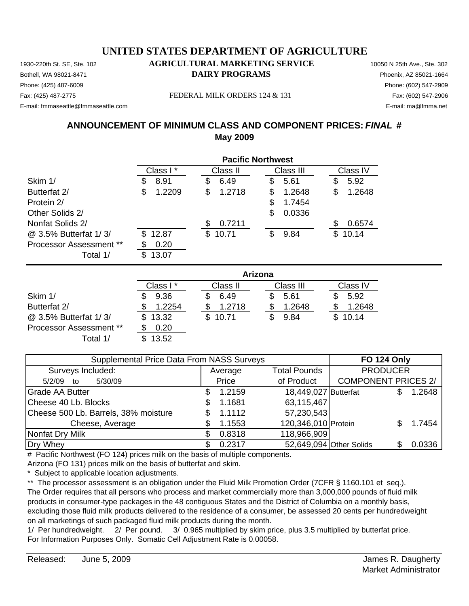Phone: (425) 487-6009 Phone: (602) 547-2909 E-mail: fmmaseattle@fmmaseattle.com E-mail: ma@fmma.net

### 1930-220th St. SE, Ste. 102 **AGRICULTURAL MARKETING SERVICE** 10050 N 25th Ave., Ste. 302 **Bothell, WA 98021-8471 DAIRY PROGRAMS** Phoenix, AZ 85021-1664

#### Fax: (425) 487-2775 FEDERAL MILK ORDERS 124 & 131

## **ANNOUNCEMENT OF MINIMUM CLASS AND COMPONENT PRICES:** *FINAL* **# May 2009**

|                                | <b>Pacific Northwest</b> |              |              |              |
|--------------------------------|--------------------------|--------------|--------------|--------------|
|                                | Class I*                 | Class II     | Class III    | Class IV     |
| Skim 1/                        | 8.91<br>\$               | 6.49<br>\$   | 5.61<br>\$   | 5.92<br>\$   |
| Butterfat 2/                   | 1.2209<br>\$             | \$<br>1.2718 | \$<br>1.2648 | 1.2648<br>\$ |
| Protein 2/                     |                          |              | \$<br>1.7454 |              |
| Other Solids 2/                |                          |              | \$<br>0.0336 |              |
| Nonfat Solids 2/               |                          | 0.7211<br>\$ |              | 0.6574<br>S  |
| @ 3.5% Butterfat 1/3/          | 12.87<br>\$.             | \$<br>10.71  | 9.84<br>\$   | 10.14<br>\$  |
| <b>Processor Assessment **</b> | 0.20                     |              |              |              |
| Total 1/                       | $\mathbb{S}$<br>13.07    |              |              |              |
|                                |                          |              | Arizona      |              |

|                                |          | Arizona     |           |          |  |  |  |
|--------------------------------|----------|-------------|-----------|----------|--|--|--|
|                                | Class I* | Class II    | Class III | Class IV |  |  |  |
| Skim 1/                        | 9.36     | 6.49        | 5.61      | 5.92     |  |  |  |
| Butterfat 2/                   | 1.2254   | 1.2718      | 1.2648    | 1.2648   |  |  |  |
| @ 3.5% Butterfat 1/3/          | \$13.32  | 10.71<br>\$ | 9.84      | \$10.14  |  |  |  |
| <b>Processor Assessment **</b> | 0.20     |             |           |          |  |  |  |
| Total 1/                       | 13.52    |             |           |          |  |  |  |

| Supplemental Price Data From NASS Surveys |  |         |                      | <b>FO 124 Only</b>         |  |        |
|-------------------------------------------|--|---------|----------------------|----------------------------|--|--------|
| Surveys Included:                         |  | Average | <b>Total Pounds</b>  | <b>PRODUCER</b>            |  |        |
| 5/30/09<br>5/2/09<br>to                   |  | Price   | of Product           | <b>COMPONENT PRICES 2/</b> |  |        |
| <b>Grade AA Butter</b>                    |  | 1.2159  | 18,449,027 Butterfat |                            |  | 1.2648 |
| Cheese 40 Lb. Blocks                      |  | 1.1681  | 63,115,467           |                            |  |        |
| Cheese 500 Lb. Barrels, 38% moisture      |  | 1.1112  | 57,230,543           |                            |  |        |
| Cheese, Average                           |  | 1.1553  | 120,346,010 Protein  |                            |  | 1.7454 |
| Nonfat Dry Milk                           |  | 0.8318  | 118,966,909          |                            |  |        |
| Dry Whey                                  |  | 0.2317  |                      | 52,649,094 Other Solids    |  | 0.0336 |

# Pacific Northwest (FO 124) prices milk on the basis of multiple components.

Arizona (FO 131) prices milk on the basis of butterfat and skim.

\* Subject to applicable location adjustments.

\*\* The processor assessment is an obligation under the Fluid Milk Promotion Order (7CFR § 1160.101 et seq.). The Order requires that all persons who process and market commercially more than 3,000,000 pounds of fluid milk products in consumer-type packages in the 48 contiguous States and the District of Columbia on a monthly basis, excluding those fluid milk products delivered to the residence of a consumer, be assessed 20 cents per hundredweight on all marketings of such packaged fluid milk products during the month.

1/ Per hundredweight. 2/ Per pound. 3/ 0.965 multiplied by skim price, plus 3.5 multiplied by butterfat price. For Information Purposes Only. Somatic Cell Adjustment Rate is 0.00058.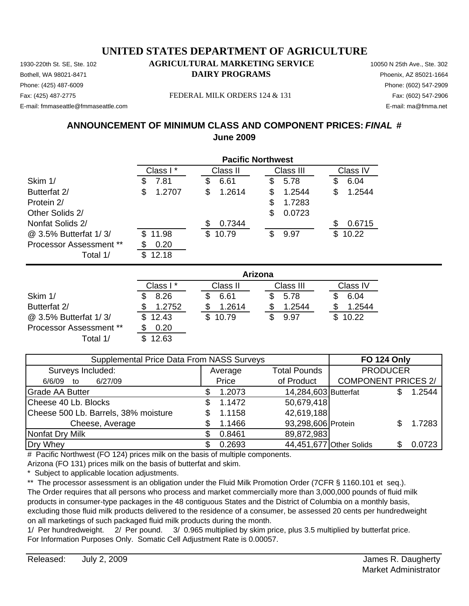Phone: (425) 487-6009 Phone: (602) 547-2909 E-mail: fmmaseattle@fmmaseattle.com E-mail: ma@fmma.net

### 1930-220th St. SE, Ste. 102 **AGRICULTURAL MARKETING SERVICE** 10050 N 25th Ave., Ste. 302 **Bothell, WA 98021-8471 DAIRY PROGRAMS** Phoenix, AZ 85021-1664

#### Fax: (425) 487-2775 FEDERAL MILK ORDERS 124 & 131

## **ANNOUNCEMENT OF MINIMUM CLASS AND COMPONENT PRICES:** *FINAL* **# June 2009**

|                                | <b>Pacific Northwest</b> |              |              |             |
|--------------------------------|--------------------------|--------------|--------------|-------------|
|                                | Class I*                 | Class II     | Class III    | Class IV    |
| Skim 1/                        | 7.81<br>\$               | 6.61<br>\$   | 5.78<br>\$   | 6.04<br>S   |
| Butterfat 2/                   | 1.2707<br>S              | 1.2614<br>\$ | \$<br>1.2544 | 1.2544<br>S |
| Protein 2/                     |                          |              | \$<br>1.7283 |             |
| Other Solids 2/                |                          |              | \$<br>0.0723 |             |
| Nonfat Solids 2/               |                          | 0.7344       |              | 0.6715      |
| @ 3.5% Butterfat 1/3/          | 11.98<br>\$.             | \$10.79      | 9.97<br>\$   | 10.22<br>\$ |
| <b>Processor Assessment **</b> | 0.20                     |              |              |             |
| Total 1/                       | 12.18<br>\$.             |              |              |             |
|                                |                          |              | Arizona      |             |

|                                | Arizona  |              |           |          |  |  |
|--------------------------------|----------|--------------|-----------|----------|--|--|
|                                | Class I* | Class II     | Class III | Class IV |  |  |
| Skim 1/                        | 8.26     | 6.61         | 5.78      | 6.04     |  |  |
| Butterfat 2/                   | 1.2752   | 1.2614       | 1.2544    | 1.2544   |  |  |
| @ 3.5% Butterfat 1/3/          | \$12.43  | 10.79<br>\$. | 9.97      | 10.22    |  |  |
| <b>Processor Assessment **</b> | 0.20     |              |           |          |  |  |
| Total 1/                       | 12.63    |              |           |          |  |  |

| Supplemental Price Data From NASS Surveys |   |         |                      | <b>FO 124 Only</b>         |  |        |
|-------------------------------------------|---|---------|----------------------|----------------------------|--|--------|
| Surveys Included:                         |   | Average | <b>Total Pounds</b>  | <b>PRODUCER</b>            |  |        |
| 6/27/09<br>6/6/09<br>to                   |   | Price   | of Product           | <b>COMPONENT PRICES 2/</b> |  |        |
| <b>Grade AA Butter</b>                    |   | 1.2073  | 14,284,603 Butterfat |                            |  | 1.2544 |
| Cheese 40 Lb. Blocks                      | S | 1.1472  | 50,679,418           |                            |  |        |
| Cheese 500 Lb. Barrels, 38% moisture      |   | 1.1158  | 42,619,188           |                            |  |        |
| Cheese, Average                           |   | 1.1466  | 93,298,606 Protein   |                            |  | 1.7283 |
| Nonfat Dry Milk                           |   | 0.8461  | 89,872,983           |                            |  |        |
| Dry Whey                                  |   | 0.2693  |                      | 44,451,677 Other Solids    |  | 0.0723 |

# Pacific Northwest (FO 124) prices milk on the basis of multiple components.

Arizona (FO 131) prices milk on the basis of butterfat and skim.

\* Subject to applicable location adjustments.

\*\* The processor assessment is an obligation under the Fluid Milk Promotion Order (7CFR § 1160.101 et seq.). The Order requires that all persons who process and market commercially more than 3,000,000 pounds of fluid milk products in consumer-type packages in the 48 contiguous States and the District of Columbia on a monthly basis, excluding those fluid milk products delivered to the residence of a consumer, be assessed 20 cents per hundredweight on all marketings of such packaged fluid milk products during the month.

1/ Per hundredweight. 2/ Per pound. 3/ 0.965 multiplied by skim price, plus 3.5 multiplied by butterfat price. For Information Purposes Only. Somatic Cell Adjustment Rate is 0.00057.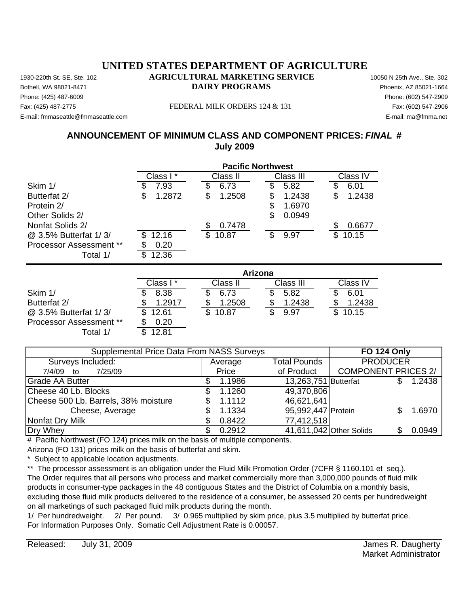Phone: (425) 487-6009 Phone: (602) 547-2909 Fax: (425) 487-2775 FEDERAL MILK ORDERS 124 & 131 E-mail: fmmaseattle@fmmaseattle.com E-mail: ma@fmma.net

## **ANNOUNCEMENT OF MINIMUM CLASS AND COMPONENT PRICES:** *FINAL* **# July 2009**

|                                | <b>Pacific Northwest</b> |              |              |              |  |
|--------------------------------|--------------------------|--------------|--------------|--------------|--|
|                                | Class I*                 | Class II     | Class III    | Class IV     |  |
| Skim 1/                        | 7.93                     | 6.73         | 5.82<br>S    | 6.01         |  |
| Butterfat 2/                   | 1.2872<br>S              | 1.2508<br>\$ | 1.2438<br>\$ | 1.2438<br>\$ |  |
| Protein 2/                     |                          |              | 1.6970<br>S  |              |  |
| Other Solids 2/                |                          |              | \$<br>0.0949 |              |  |
| Nonfat Solids 2/               |                          | 0.7478       |              | 0.6677       |  |
| @ 3.5% Butterfat 1/3/          | 12.16<br>S               | 10.87<br>\$. | S<br>9.97    | 10.15<br>\$. |  |
| <b>Processor Assessment **</b> | 0.20                     |              |              |              |  |
| Total 1/                       | 12.36<br>\$.             |              |              |              |  |

|                                | Arizona   |          |           |              |  |  |
|--------------------------------|-----------|----------|-----------|--------------|--|--|
|                                | Class I * | Class II | Class III | Class IV     |  |  |
| Skim 1/                        | 8.38      | 6.73     | 5.82      | 6.01         |  |  |
| Butterfat 2/                   | 1.2917    | 1.2508   | 1.2438    | 1.2438       |  |  |
| @ 3.5% Butterfat 1/3/          | 12.61     | 10.87    | 9.97      | 10.15<br>\$. |  |  |
| <b>Processor Assessment **</b> | 0.20      |          |           |              |  |  |
| Total 1/                       | 12.81     |          |           |              |  |  |

| <b>Supplemental Price Data From NASS Surveys</b> | <b>FO 124 Only</b> |                      |                            |  |        |
|--------------------------------------------------|--------------------|----------------------|----------------------------|--|--------|
| Surveys Included:                                | Average            | <b>Total Pounds</b>  | <b>PRODUCER</b>            |  |        |
| 7/25/09<br>7/4/09 to                             | Price              | of Product           | <b>COMPONENT PRICES 2/</b> |  |        |
| Grade AA Butter                                  | 1.1986             | 13,263,751 Butterfat |                            |  | 1.2438 |
| Cheese 40 Lb. Blocks                             | 1.1260             | 49,370,806           |                            |  |        |
| Cheese 500 Lb. Barrels, 38% moisture             | 1.1112             | 46,621,641           |                            |  |        |
| Cheese, Average                                  | 1.1334             | 95,992,447 Protein   |                            |  | 1.6970 |
| Nonfat Dry Milk                                  | 0.8422             | 77,412,518           |                            |  |        |
| Dry Whey                                         | 0.2912             |                      | 41,611,042 Other Solids    |  | 0.0949 |

# Pacific Northwest (FO 124) prices milk on the basis of multiple components.

Arizona (FO 131) prices milk on the basis of butterfat and skim.

Subject to applicable location adjustments.

\*\* The processor assessment is an obligation under the Fluid Milk Promotion Order (7CFR § 1160.101 et seq.). The Order requires that all persons who process and market commercially more than 3,000,000 pounds of fluid milk products in consumer-type packages in the 48 contiguous States and the District of Columbia on a monthly basis, excluding those fluid milk products delivered to the residence of a consumer, be assessed 20 cents per hundredweight on all marketings of such packaged fluid milk products during the month.

1/ Per hundredweight. 2/ Per pound. 3/ 0.965 multiplied by skim price, plus 3.5 multiplied by butterfat price. For Information Purposes Only. Somatic Cell Adjustment Rate is 0.00057.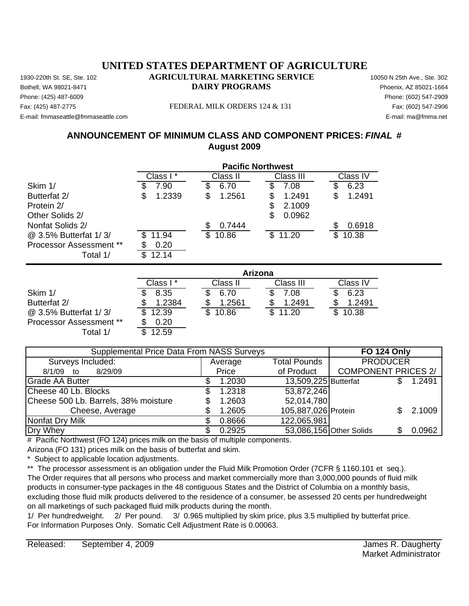Phone: (425) 487-6009 Phone: (602) 547-2909 Fax: (425) 487-2775 FEDERAL MILK ORDERS 124 & 131

E-mail: fmmaseattle@fmmaseattle.com E-mail: ma@fmma.net

## **ANNOUNCEMENT OF MINIMUM CLASS AND COMPONENT PRICES:** *FINAL* **# August 2009**

|                                | <b>Pacific Northwest</b> |              |                       |              |  |
|--------------------------------|--------------------------|--------------|-----------------------|--------------|--|
|                                | Class I*                 | Class II     | Class III             | Class IV     |  |
| Skim 1/                        | 7.90                     | 6.70         | 7.08                  | 6.23         |  |
| Butterfat 2/                   | 1.2339<br>S              | 1.2561<br>\$ | 1.2491<br>\$          | 1.2491<br>S  |  |
| Protein 2/                     |                          |              | 2.1009<br>S           |              |  |
| Other Solids 2/                |                          |              | \$<br>0.0962          |              |  |
| Nonfat Solids 2/               |                          | 0.7444       |                       | 0.6918       |  |
| @ 3.5% Butterfat 1/3/          | 11.94                    | \$.<br>10.86 | $\mathbb{S}$<br>11.20 | 10.38<br>\$. |  |
| <b>Processor Assessment **</b> | 0.20                     |              |                       |              |  |
| Total 1/                       | 12.14                    |              |                       |              |  |

|                                | Arizona   |          |           |          |  |  |
|--------------------------------|-----------|----------|-----------|----------|--|--|
|                                | Class I * | Class II | Class III | Class IV |  |  |
| Skim 1/                        | 8.35      | 6.70     | 7.08      | 6.23     |  |  |
| Butterfat 2/                   | 1.2384    | 1.2561   | 1.2491    | 1.2491   |  |  |
| @ 3.5% Butterfat 1/3/          | \$12.39   | 10.86    | \$11.20   | \$10.38  |  |  |
| <b>Processor Assessment **</b> | 0.20      |          |           |          |  |  |
| Total 1/                       | 12.59     |          |           |          |  |  |

| <b>Supplemental Price Data From NASS Surveys</b> |  |         |                      | <b>FO 124 Only</b>         |  |        |
|--------------------------------------------------|--|---------|----------------------|----------------------------|--|--------|
| Surveys Included:                                |  | Average | <b>Total Pounds</b>  | <b>PRODUCER</b>            |  |        |
| 8/29/09<br>8/1/09 to                             |  | Price   | of Product           | <b>COMPONENT PRICES 2/</b> |  |        |
| Grade AA Butter                                  |  | 1.2030  | 13,509,225 Butterfat |                            |  | 1.2491 |
| Cheese 40 Lb. Blocks                             |  | 1.2318  | 53,872,246           |                            |  |        |
| Cheese 500 Lb. Barrels, 38% moisture             |  | 1.2603  | 52,014,780           |                            |  |        |
| Cheese, Average                                  |  | 1.2605  | 105,887,026 Protein  |                            |  | 2.1009 |
| Nonfat Dry Milk                                  |  | 0.8666  | 122,065,981          |                            |  |        |
| Dry Whey                                         |  | 0.2925  |                      | 53,086,156 Other Solids    |  | 0.0962 |

# Pacific Northwest (FO 124) prices milk on the basis of multiple components.

Arizona (FO 131) prices milk on the basis of butterfat and skim.

Subject to applicable location adjustments.

\*\* The processor assessment is an obligation under the Fluid Milk Promotion Order (7CFR § 1160.101 et seq.). The Order requires that all persons who process and market commercially more than 3,000,000 pounds of fluid milk products in consumer-type packages in the 48 contiguous States and the District of Columbia on a monthly basis, excluding those fluid milk products delivered to the residence of a consumer, be assessed 20 cents per hundredweight on all marketings of such packaged fluid milk products during the month.

1/ Per hundredweight. 2/ Per pound. 3/ 0.965 multiplied by skim price, plus 3.5 multiplied by butterfat price. For Information Purposes Only. Somatic Cell Adjustment Rate is 0.00063.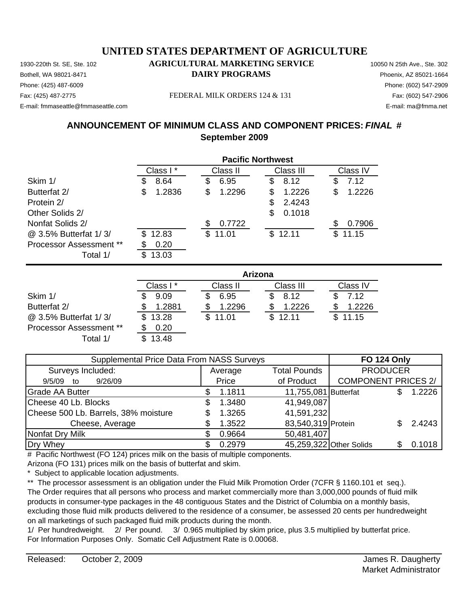Phone: (425) 487-6009 Phone: (602) 547-2909 E-mail: fmmaseattle@fmmaseattle.com E-mail: ma@fmma.net

## 1930-220th St. SE, Ste. 102 **AGRICULTURAL MARKETING SERVICE** 10050 N 25th Ave., Ste. 302 **Bothell, WA 98021-8471 DAIRY PROGRAMS** Phoenix, AZ 85021-1664

#### Fax: (425) 487-2775 FEDERAL MILK ORDERS 124 & 131

## **ANNOUNCEMENT OF MINIMUM CLASS AND COMPONENT PRICES:** *FINAL* **# September 2009**

|                                | <b>Pacific Northwest</b> |              |              |              |
|--------------------------------|--------------------------|--------------|--------------|--------------|
|                                | Class I*                 | Class II     | Class III    | Class IV     |
| Skim 1/                        | 8.64<br>S                | 6.95<br>S    | 8.12<br>\$   | 7.12<br>S    |
| Butterfat 2/                   | \$<br>1.2836             | \$<br>1.2296 | 1.2226<br>\$ | \$<br>1.2226 |
| Protein 2/                     |                          |              | \$<br>2.4243 |              |
| Other Solids 2/                |                          |              | 0.1018<br>S  |              |
| Nonfat Solids 2/               |                          | 0.7722<br>S  |              | 0.7906<br>S  |
| @ 3.5% Butterfat 1/3/          | \$12.83                  | \$11.01      | \$12.11      | 11.15<br>\$  |
| <b>Processor Assessment **</b> | 0.20                     |              |              |              |
| Total 1/                       | 13.03<br>S               |              |              |              |
|                                |                          |              | Arizona      |              |

|                                | Arizona  |              |           |          |  |  |
|--------------------------------|----------|--------------|-----------|----------|--|--|
|                                | Class I* | Class II     | Class III | Class IV |  |  |
| Skim 1/                        | 9.09     | 6.95         | 8.12      | 7.12     |  |  |
| Butterfat 2/                   | 1.2881   | 1.2296       | 1.2226    | 1.2226   |  |  |
| @ 3.5% Butterfat 1/3/          | \$13.28  | 11.01<br>\$. | \$12.11   | \$11.15  |  |  |
| <b>Processor Assessment **</b> | 0.20     |              |           |          |  |  |
| Total 1/                       | 13.48    |              |           |          |  |  |

| Supplemental Price Data From NASS Surveys |  |         |                         | <b>FO 124 Only</b>         |     |        |
|-------------------------------------------|--|---------|-------------------------|----------------------------|-----|--------|
| Surveys Included:                         |  | Average | <b>Total Pounds</b>     | <b>PRODUCER</b>            |     |        |
| 9/26/09<br>9/5/09 to                      |  | Price   | of Product              | <b>COMPONENT PRICES 2/</b> |     |        |
| <b>Grade AA Butter</b>                    |  | 1.1811  | 11,755,081 Butterfat    |                            |     | 1.2226 |
| Cheese 40 Lb. Blocks                      |  | 1.3480  | 41,949,087              |                            |     |        |
| Cheese 500 Lb. Barrels, 38% moisture      |  | 1.3265  | 41,591,232              |                            |     |        |
| Cheese, Average                           |  | 1.3522  | 83,540,319 Protein      |                            |     | 2.4243 |
| Nonfat Dry Milk                           |  | 0.9664  | 50,481,407              |                            |     |        |
| Dry Whey                                  |  | 0.2979  | 45,259,322 Other Solids |                            | SS. | 0.1018 |

# Pacific Northwest (FO 124) prices milk on the basis of multiple components.

Arizona (FO 131) prices milk on the basis of butterfat and skim.

\* Subject to applicable location adjustments.

\*\* The processor assessment is an obligation under the Fluid Milk Promotion Order (7CFR § 1160.101 et seq.). The Order requires that all persons who process and market commercially more than 3,000,000 pounds of fluid milk products in consumer-type packages in the 48 contiguous States and the District of Columbia on a monthly basis, excluding those fluid milk products delivered to the residence of a consumer, be assessed 20 cents per hundredweight on all marketings of such packaged fluid milk products during the month.

1/ Per hundredweight. 2/ Per pound. 3/ 0.965 multiplied by skim price, plus 3.5 multiplied by butterfat price. For Information Purposes Only. Somatic Cell Adjustment Rate is 0.00068.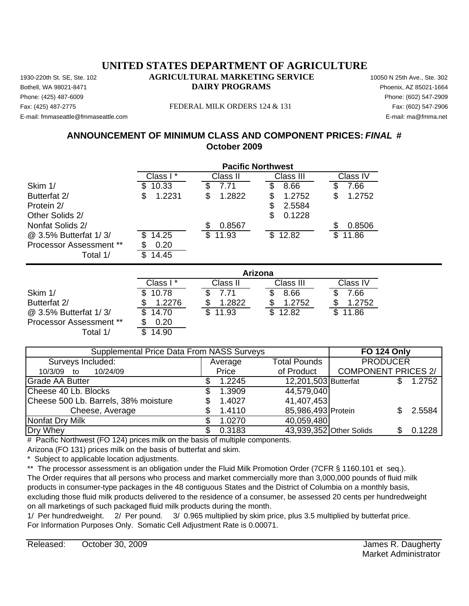Phone: (425) 487-6009 Phone: (602) 547-2909 Fax: (425) 487-2775 FEDERAL MILK ORDERS 124 & 131

E-mail: fmmaseattle@fmmaseattle.com E-mail: ma@fmma.net

## **ANNOUNCEMENT OF MINIMUM CLASS AND COMPONENT PRICES:** *FINAL* **# October 2009**

|                                | <b>Pacific Northwest</b> |              |              |              |  |
|--------------------------------|--------------------------|--------------|--------------|--------------|--|
|                                | Class I*                 | Class II     | Class III    | Class IV     |  |
| Skim 1/                        | 10.33<br>\$.             | 7.71<br>S    | 8.66<br>S    | 7.66         |  |
| Butterfat 2/                   | 1.2231<br>S              | 1.2822<br>S  | 1.2752<br>S  | 1.2752<br>\$ |  |
| Protein 2/                     |                          |              | 2.5584       |              |  |
| Other Solids 2/                |                          |              | 0.1228<br>\$ |              |  |
| Nonfat Solids 2/               |                          | 0.8567       |              | 0.8506       |  |
| @ 3.5% Butterfat 1/3/          | 14.25<br>\$.             | \$.<br>11.93 | \$12.82      | 11.86<br>\$  |  |
| <b>Processor Assessment **</b> | 0.20                     |              |              |              |  |
| Total 1/                       | 14.45<br>\$.             |              |              |              |  |

|                                | Arizona   |          |             |          |  |  |
|--------------------------------|-----------|----------|-------------|----------|--|--|
|                                | Class I * | Class II | Class III   | Class IV |  |  |
| Skim 1/                        | \$10.78   | 7.71     | 8.66        | 7.66     |  |  |
| Butterfat 2/                   | 1.2276    | 1.2822   | 1.2752      | 1.2752   |  |  |
| @ 3.5% Butterfat 1/3/          | 14.70     | 11.93    | 12.82<br>\$ | \$11.86  |  |  |
| <b>Processor Assessment **</b> | 0.20      |          |             |          |  |  |
| Total 1/                       | 14.90     |          |             |          |  |  |

| <b>Supplemental Price Data From NASS Surveys</b> |  |         |                      | <b>FO 124 Only</b>         |                 |        |
|--------------------------------------------------|--|---------|----------------------|----------------------------|-----------------|--------|
| Surveys Included:                                |  | Average | <b>Total Pounds</b>  |                            | <b>PRODUCER</b> |        |
| 10/24/09<br>10/3/09 to                           |  | Price   | of Product           | <b>COMPONENT PRICES 2/</b> |                 |        |
| Grade AA Butter                                  |  | 1.2245  | 12,201,503 Butterfat |                            |                 | 1.2752 |
| Cheese 40 Lb. Blocks                             |  | 1.3909  | 44,579,040           |                            |                 |        |
| Cheese 500 Lb. Barrels, 38% moisture             |  | 1.4027  | 41,407,453           |                            |                 |        |
| Cheese, Average                                  |  | 1.4110  | 85,986,493 Protein   |                            |                 | 2.5584 |
| Nonfat Dry Milk                                  |  | 1.0270  | 40,059,480           |                            |                 |        |
| Dry Whey                                         |  | 0.3183  |                      | 43,939,352 Other Solids    |                 | 0.1228 |

# Pacific Northwest (FO 124) prices milk on the basis of multiple components.

Arizona (FO 131) prices milk on the basis of butterfat and skim.

Subject to applicable location adjustments.

\*\* The processor assessment is an obligation under the Fluid Milk Promotion Order (7CFR § 1160.101 et seq.). The Order requires that all persons who process and market commercially more than 3,000,000 pounds of fluid milk products in consumer-type packages in the 48 contiguous States and the District of Columbia on a monthly basis, excluding those fluid milk products delivered to the residence of a consumer, be assessed 20 cents per hundredweight on all marketings of such packaged fluid milk products during the month.

1/ Per hundredweight. 2/ Per pound. 3/ 0.965 multiplied by skim price, plus 3.5 multiplied by butterfat price. For Information Purposes Only. Somatic Cell Adjustment Rate is 0.00071.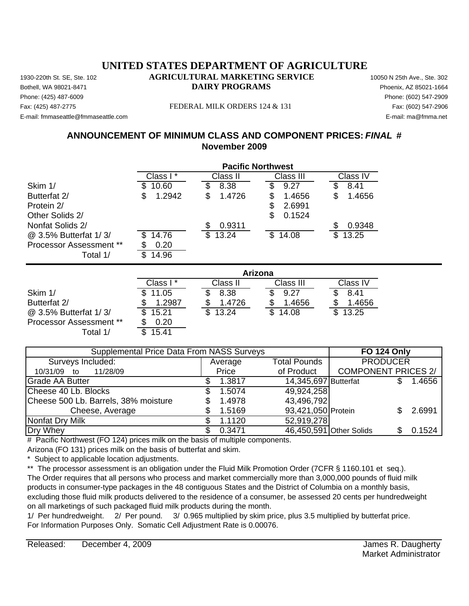Phone: (425) 487-6009 Phone: (602) 547-2909 Fax: (425) 487-2775 FEDERAL MILK ORDERS 124 & 131 E-mail: fmmaseattle@fmmaseattle.com E-mail: ma@fmma.net

## **ANNOUNCEMENT OF MINIMUM CLASS AND COMPONENT PRICES:** *FINAL* **# November 2009**

|                                | <b>Pacific Northwest</b> |              |              |              |  |
|--------------------------------|--------------------------|--------------|--------------|--------------|--|
|                                | Class I*                 | Class II     | Class III    | Class IV     |  |
| Skim 1/                        | 10.60<br>\$              | 8.38<br>3    | 9.27<br>S    | 8.41         |  |
| Butterfat 2/                   | 1.2942<br>\$             | 1.4726<br>\$ | 1.4656<br>\$ | 1.4656<br>\$ |  |
| Protein 2/                     |                          |              | 2.6991<br>S  |              |  |
| Other Solids 2/                |                          |              | \$<br>0.1524 |              |  |
| Nonfat Solids 2/               |                          | 0.9311       |              | 0.9348       |  |
| @ 3.5% Butterfat 1/3/          | 14.76<br>S.              | 13.24<br>\$. | 14.08<br>\$. | 13.25<br>\$  |  |
| <b>Processor Assessment **</b> | 0.20                     |              |              |              |  |
| Total 1/                       | 14.96                    |              |              |              |  |

|                                | Arizona   |          |           |          |  |  |
|--------------------------------|-----------|----------|-----------|----------|--|--|
|                                | Class I * | Class II | Class III | Class IV |  |  |
| Skim 1/                        | \$11.05   | 8.38     | 9.27      | 8.41     |  |  |
| Butterfat 2/                   | 1.2987    | 1.4726   | 1.4656    | 1.4656   |  |  |
| @ 3.5% Butterfat 1/3/          | 15.21     | 13.24    | 14.08     | \$13.25  |  |  |
| <b>Processor Assessment **</b> | 0.20      |          |           |          |  |  |
| Total 1/                       | 15.41     |          |           |          |  |  |

| <b>Supplemental Price Data From NASS Surveys</b> | <b>FO 124 Only</b> |                      |                            |        |
|--------------------------------------------------|--------------------|----------------------|----------------------------|--------|
| Surveys Included:                                | Average            | <b>Total Pounds</b>  | <b>PRODUCER</b>            |        |
| 11/28/09<br>10/31/09 to                          | Price              | of Product           | <b>COMPONENT PRICES 2/</b> |        |
| <b>Grade AA Butter</b>                           | 1.3817             | 14,345,697 Butterfat |                            | 1.4656 |
| Cheese 40 Lb. Blocks                             | 1.5074             | 49,924,258           |                            |        |
| Cheese 500 Lb. Barrels, 38% moisture             | 1.4978             | 43,496,792           |                            |        |
| Cheese, Average                                  | 1.5169             | 93,421,050 Protein   |                            | 2.6991 |
| Nonfat Dry Milk                                  | 1.1120             | 52,919,278           |                            |        |
| Dry Whey                                         | 0.3471             |                      | 46,450,591 Other Solids    | 0.1524 |

# Pacific Northwest (FO 124) prices milk on the basis of multiple components.

Arizona (FO 131) prices milk on the basis of butterfat and skim.

Subject to applicable location adjustments.

\*\* The processor assessment is an obligation under the Fluid Milk Promotion Order (7CFR § 1160.101 et seq.). The Order requires that all persons who process and market commercially more than 3,000,000 pounds of fluid milk products in consumer-type packages in the 48 contiguous States and the District of Columbia on a monthly basis, excluding those fluid milk products delivered to the residence of a consumer, be assessed 20 cents per hundredweight on all marketings of such packaged fluid milk products during the month.

1/ Per hundredweight. 2/ Per pound. 3/ 0.965 multiplied by skim price, plus 3.5 multiplied by butterfat price. For Information Purposes Only. Somatic Cell Adjustment Rate is 0.00076.